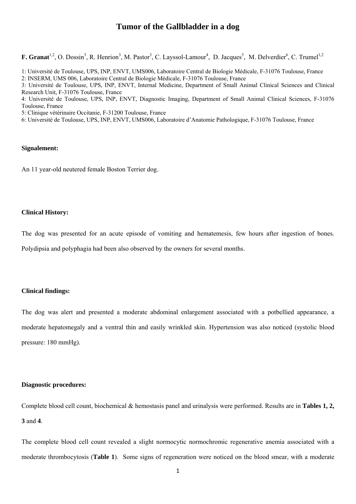## **Tumor of the Gallbladder in a dog**

**F. Granat**<sup>1,2</sup>, O. Dossin<sup>3</sup>, R. Henrion<sup>3</sup>, M. Pastor<sup>3</sup>, C. Layssol-Lamour<sup>4</sup>, D. Jacques<sup>5</sup>, M. Delverdier<sup>6</sup>, C. Trumel<sup>1,2</sup>

1: Université de Toulouse, UPS, INP, ENVT, UMS006, Laboratoire Central de Biologie Médicale, F-31076 Toulouse, France

2: INSERM, UMS 006, Laboratoire Central de Biologie Médicale, F-31076 Toulouse, France

3: Université de Toulouse, UPS, INP, ENVT, Internal Medicine, Department of Small Animal Clinical Sciences and Clinical Research Unit, F-31076 Toulouse, France

4: Université de Toulouse, UPS, INP, ENVT, Diagnostic Imaging, Department of Small Animal Clinical Sciences, F-31076 Toulouse, France

5: Clinique vétérinaire Occitanie, F-31200 Toulouse, France

6: Université de Toulouse, UPS, INP, ENVT, UMS006, Laboratoire d'Anatomie Pathologique, F-31076 Toulouse, France

## **Signalement:**

An 11 year-old neutered female Boston Terrier dog.

## **Clinical History:**

The dog was presented for an acute episode of vomiting and hematemesis, few hours after ingestion of bones.

Polydipsia and polyphagia had been also observed by the owners for several months.

#### **Clinical findings:**

The dog was alert and presented a moderate abdominal enlargement associated with a potbellied appearance, a moderate hepatomegaly and a ventral thin and easily wrinkled skin. Hypertension was also noticed (systolic blood pressure: 180 mmHg).

#### **Diagnostic procedures:**

Complete blood cell count, biochemical & hemostasis panel and urinalysis were performed. Results are in **Tables 1, 2, 3** and **4**.

The complete blood cell count revealed a slight normocytic normochromic regenerative anemia associated with a moderate thrombocytosis (**Table 1**). Some signs of regeneration were noticed on the blood smear, with a moderate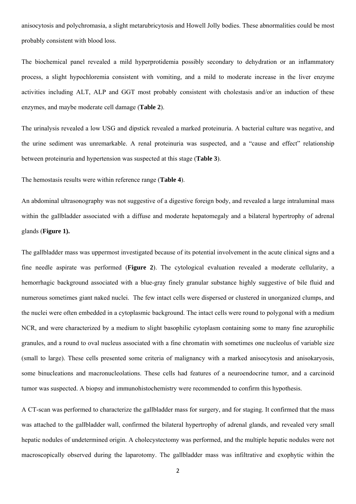anisocytosis and polychromasia, a slight metarubricytosis and Howell Jolly bodies. These abnormalities could be most probably consistent with blood loss.

The biochemical panel revealed a mild hyperprotidemia possibly secondary to dehydration or an inflammatory process, a slight hypochloremia consistent with vomiting, and a mild to moderate increase in the liver enzyme activities including ALT, ALP and GGT most probably consistent with cholestasis and/or an induction of these enzymes, and maybe moderate cell damage (**Table 2**).

The urinalysis revealed a low USG and dipstick revealed a marked proteinuria. A bacterial culture was negative, and the urine sediment was unremarkable. A renal proteinuria was suspected, and a "cause and effect" relationship between proteinuria and hypertension was suspected at this stage (**Table 3**).

The hemostasis results were within reference range (**Table 4**).

An abdominal ultrasonography was not suggestive of a digestive foreign body, and revealed a large intraluminal mass within the gallbladder associated with a diffuse and moderate hepatomegaly and a bilateral hypertrophy of adrenal glands (**Figure 1).** 

The gallbladder mass was uppermost investigated because of its potential involvement in the acute clinical signs and a fine needle aspirate was performed (**Figure 2**). The cytological evaluation revealed a moderate cellularity, a hemorrhagic background associated with a blue-gray finely granular substance highly suggestive of bile fluid and numerous sometimes giant naked nuclei. The few intact cells were dispersed or clustered in unorganized clumps, and the nuclei were often embedded in a cytoplasmic background. The intact cells were round to polygonal with a medium NCR, and were characterized by a medium to slight basophilic cytoplasm containing some to many fine azurophilic granules, and a round to oval nucleus associated with a fine chromatin with sometimes one nucleolus of variable size (small to large). These cells presented some criteria of malignancy with a marked anisocytosis and anisokaryosis, some binucleations and macronucleolations. These cells had features of a neuroendocrine tumor, and a carcinoid tumor was suspected. A biopsy and immunohistochemistry were recommended to confirm this hypothesis.

A CT-scan was performed to characterize the gallbladder mass for surgery, and for staging. It confirmed that the mass was attached to the gallbladder wall, confirmed the bilateral hypertrophy of adrenal glands, and revealed very small hepatic nodules of undetermined origin. A cholecystectomy was performed, and the multiple hepatic nodules were not macroscopically observed during the laparotomy. The gallbladder mass was infiltrative and exophytic within the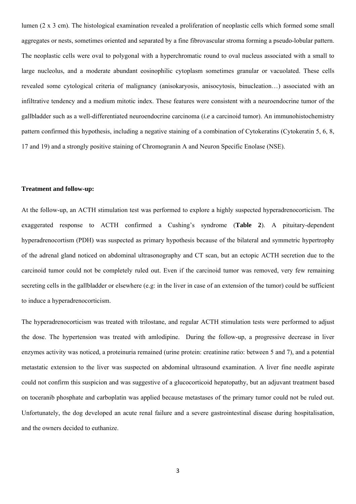lumen (2 x 3 cm). The histological examination revealed a proliferation of neoplastic cells which formed some small aggregates or nests, sometimes oriented and separated by a fine fibrovascular stroma forming a pseudo-lobular pattern. The neoplastic cells were oval to polygonal with a hyperchromatic round to oval nucleus associated with a small to large nucleolus, and a moderate abundant eosinophilic cytoplasm sometimes granular or vacuolated. These cells revealed some cytological criteria of malignancy (anisokaryosis, anisocytosis, binucleation…) associated with an infiltrative tendency and a medium mitotic index. These features were consistent with a neuroendocrine tumor of the gallbladder such as a well-differentiated neuroendocrine carcinoma (*i.e* a carcinoid tumor). An immunohistochemistry pattern confirmed this hypothesis, including a negative staining of a combination of Cytokeratins (Cytokeratin 5, 6, 8, 17 and 19) and a strongly positive staining of Chromogranin A and Neuron Specific Enolase (NSE).

#### **Treatment and follow-up:**

At the follow-up, an ACTH stimulation test was performed to explore a highly suspected hyperadrenocorticism. The exaggerated response to ACTH confirmed a Cushing's syndrome (**Table 2**). A pituitary-dependent hyperadrenocortism (PDH) was suspected as primary hypothesis because of the bilateral and symmetric hypertrophy of the adrenal gland noticed on abdominal ultrasonography and CT scan, but an ectopic ACTH secretion due to the carcinoid tumor could not be completely ruled out. Even if the carcinoid tumor was removed, very few remaining secreting cells in the gallbladder or elsewhere (e.g: in the liver in case of an extension of the tumor) could be sufficient to induce a hyperadrenocorticism.

The hyperadrenocorticism was treated with trilostane, and regular ACTH stimulation tests were performed to adjust the dose. The hypertension was treated with amlodipine. During the follow-up, a progressive decrease in liver enzymes activity was noticed, a proteinuria remained (urine protein: creatinine ratio: between 5 and 7), and a potential metastatic extension to the liver was suspected on abdominal ultrasound examination. A liver fine needle aspirate could not confirm this suspicion and was suggestive of a glucocorticoid hepatopathy, but an adjuvant treatment based on toceranib phosphate and carboplatin was applied because metastases of the primary tumor could not be ruled out. Unfortunately, the dog developed an acute renal failure and a severe gastrointestinal disease during hospitalisation, and the owners decided to euthanize.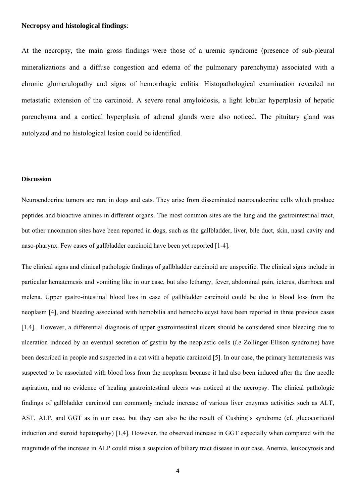## **Necropsy and histological findings**:

At the necropsy, the main gross findings were those of a uremic syndrome (presence of sub-pleural mineralizations and a diffuse congestion and edema of the pulmonary parenchyma) associated with a chronic glomerulopathy and signs of hemorrhagic colitis. Histopathological examination revealed no metastatic extension of the carcinoid. A severe renal amyloidosis, a light lobular hyperplasia of hepatic parenchyma and a cortical hyperplasia of adrenal glands were also noticed. The pituitary gland was autolyzed and no histological lesion could be identified.

#### **Discussion**

Neuroendocrine tumors are rare in dogs and cats. They arise from disseminated neuroendocrine cells which produce peptides and bioactive amines in different organs. The most common sites are the lung and the gastrointestinal tract, but other uncommon sites have been reported in dogs, such as the gallbladder, liver, bile duct, skin, nasal cavity and naso-pharynx. Few cases of gallbladder carcinoid have been yet reported [1-4].

The clinical signs and clinical pathologic findings of gallbladder carcinoid are unspecific. The clinical signs include in particular hematemesis and vomiting like in our case, but also lethargy, fever, abdominal pain, icterus, diarrhoea and melena. Upper gastro-intestinal blood loss in case of gallbladder carcinoid could be due to blood loss from the neoplasm [4], and bleeding associated with hemobilia and hemocholecyst have been reported in three previous cases [1,4]. However, a differential diagnosis of upper gastrointestinal ulcers should be considered since bleeding due to ulceration induced by an eventual secretion of gastrin by the neoplastic cells (*i.e* Zollinger-Ellison syndrome) have been described in people and suspected in a cat with a hepatic carcinoid [5]. In our case, the primary hematemesis was suspected to be associated with blood loss from the neoplasm because it had also been induced after the fine needle aspiration, and no evidence of healing gastrointestinal ulcers was noticed at the necropsy. The clinical pathologic findings of gallbladder carcinoid can commonly include increase of various liver enzymes activities such as ALT, AST, ALP, and GGT as in our case, but they can also be the result of Cushing's syndrome (cf. glucocorticoid induction and steroid hepatopathy) [1,4]. However, the observed increase in GGT especially when compared with the magnitude of the increase in ALP could raise a suspicion of biliary tract disease in our case. Anemia, leukocytosis and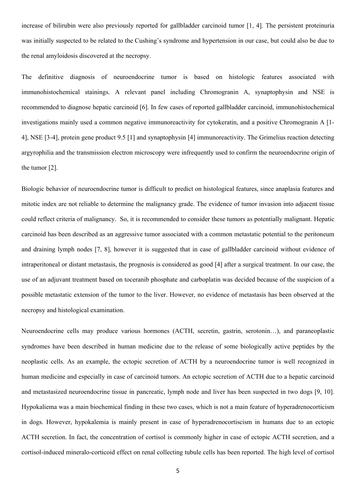increase of bilirubin were also previously reported for gallbladder carcinoid tumor [1, 4]. The persistent proteinuria was initially suspected to be related to the Cushing's syndrome and hypertension in our case, but could also be due to the renal amyloidosis discovered at the necropsy.

The definitive diagnosis of neuroendocrine tumor is based on histologic features associated with immunohistochemical stainings. A relevant panel including Chromogranin A, synaptophysin and NSE is recommended to diagnose hepatic carcinoid [6]. In few cases of reported gallbladder carcinoid, immunohistochemical investigations mainly used a common negative immunoreactivity for cytokeratin, and a positive Chromogranin A [1- 4], NSE [3-4], protein gene product 9.5 [1] and synaptophysin [4] immunoreactivity. The Grimelius reaction detecting argyrophilia and the transmission electron microscopy were infrequently used to confirm the neuroendocrine origin of the tumor [2].

Biologic behavior of neuroendocrine tumor is difficult to predict on histological features, since anaplasia features and mitotic index are not reliable to determine the malignancy grade. The evidence of tumor invasion into adjacent tissue could reflect criteria of malignancy. So, it is recommended to consider these tumors as potentially malignant. Hepatic carcinoid has been described as an aggressive tumor associated with a common metastatic potential to the peritoneum and draining lymph nodes [7, 8], however it is suggested that in case of gallbladder carcinoid without evidence of intraperitoneal or distant metastasis, the prognosis is considered as good [4] after a surgical treatment. In our case, the use of an adjuvant treatment based on toceranib phosphate and carboplatin was decided because of the suspicion of a possible metastatic extension of the tumor to the liver. However, no evidence of metastasis has been observed at the necropsy and histological examination.

Neuroendocrine cells may produce various hormones (ACTH, secretin, gastrin, serotonin…), and paraneoplastic syndromes have been described in human medicine due to the release of some biologically active peptides by the neoplastic cells. As an example, the ectopic secretion of ACTH by a neuroendocrine tumor is well recognized in human medicine and especially in case of carcinoid tumors. An ectopic secretion of ACTH due to a hepatic carcinoid and metastasized neuroendocrine tissue in pancreatic, lymph node and liver has been suspected in two dogs [9, 10]. Hypokaliema was a main biochemical finding in these two cases, which is not a main feature of hyperadrenocorticism in dogs. However, hypokalemia is mainly present in case of hyperadrenocortiscism in humans due to an ectopic ACTH secretion. In fact, the concentration of cortisol is commonly higher in case of ectopic ACTH secretion, and a cortisol-induced mineralo-corticoid effect on renal collecting tubule cells has been reported. The high level of cortisol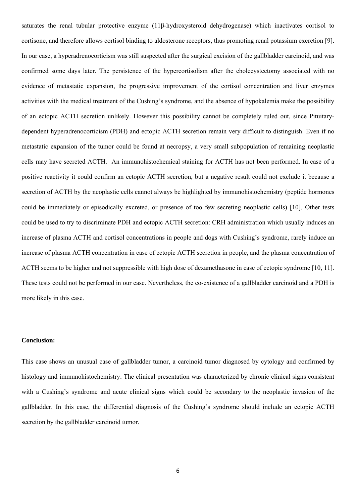saturates the renal tubular protective enzyme (11β-hydroxysteroid dehydrogenase) which inactivates cortisol to cortisone, and therefore allows cortisol binding to aldosterone receptors, thus promoting renal potassium excretion [9]. In our case, a hyperadrenocorticism was still suspected after the surgical excision of the gallbladder carcinoid, and was confirmed some days later. The persistence of the hypercortisolism after the cholecystectomy associated with no evidence of metastatic expansion, the progressive improvement of the cortisol concentration and liver enzymes activities with the medical treatment of the Cushing's syndrome, and the absence of hypokalemia make the possibility of an ectopic ACTH secretion unlikely. However this possibility cannot be completely ruled out, since Pituitarydependent hyperadrenocorticism (PDH) and ectopic ACTH secretion remain very difficult to distinguish. Even if no metastatic expansion of the tumor could be found at necropsy, a very small subpopulation of remaining neoplastic cells may have secreted ACTH. An immunohistochemical staining for ACTH has not been performed. In case of a positive reactivity it could confirm an ectopic ACTH secretion, but a negative result could not exclude it because a secretion of ACTH by the neoplastic cells cannot always be highlighted by immunohistochemistry (peptide hormones could be immediately or episodically excreted, or presence of too few secreting neoplastic cells) [10]. Other tests could be used to try to discriminate PDH and ectopic ACTH secretion: CRH administration which usually induces an increase of plasma ACTH and cortisol concentrations in people and dogs with Cushing's syndrome, rarely induce an increase of plasma ACTH concentration in case of ectopic ACTH secretion in people, and the plasma concentration of ACTH seems to be higher and not suppressible with high dose of dexamethasone in case of ectopic syndrome [10, 11]. These tests could not be performed in our case. Nevertheless, the co-existence of a gallbladder carcinoid and a PDH is more likely in this case.

#### **Conclusion:**

This case shows an unusual case of gallbladder tumor, a carcinoid tumor diagnosed by cytology and confirmed by histology and immunohistochemistry. The clinical presentation was characterized by chronic clinical signs consistent with a Cushing's syndrome and acute clinical signs which could be secondary to the neoplastic invasion of the gallbladder. In this case, the differential diagnosis of the Cushing's syndrome should include an ectopic ACTH secretion by the gallbladder carcinoid tumor.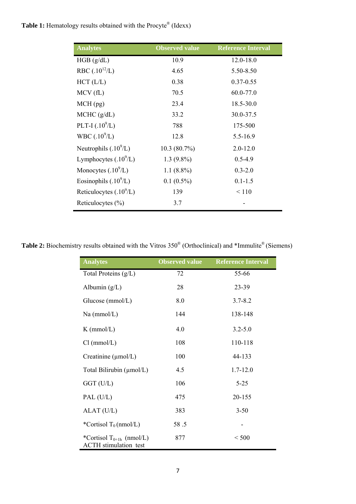# Table 1: Hematology results obtained with the Procyte® (Idexx)

| <b>Analytes</b>           | <b>Observed value</b> | <b>Reference Interval</b> |
|---------------------------|-----------------------|---------------------------|
| HGB (g/dL)                | 10.9                  | $12.0 - 18.0$             |
| RBC $(.10^{12}/L)$        | 4.65                  | 5.50-8.50                 |
| $HCT$ ( $L/L$ )           | 0.38                  | $0.37 - 0.55$             |
| MCV(fL)                   | 70.5                  | 60.0-77.0                 |
| $MCH$ (pg)                | 23.4                  | 18.5-30.0                 |
| MCHC (g/dL)               | 33.2                  | 30.0-37.5                 |
| PLT-I $(.10^{9}/L)$       | 788                   | 175-500                   |
| WBC $(.10^{9}/L)$         | 12.8                  | $5.5 - 16.9$              |
| Neutrophils $(.109/L)$    | $10.3(80.7\%)$        | $2.0 - 12.0$              |
| Lymphocytes $(.109/L)$    | $1.3(9.8\%)$          | $0.5 - 4.9$               |
| Monocytes $(.109/L)$      | 1.1 $(8.8\%)$         | $0.3 - 2.0$               |
| Eosinophils $(.109/L)$    | $0.1(0.5\%)$          | $0.1 - 1.5$               |
| Reticulocytes $(.10^9/L)$ | 139                   | < 110                     |
| Reticulocytes $(\% )$     | 3.7                   |                           |

Table 2: Biochemistry results obtained with the Vitros 350<sup>®</sup> (Orthoclinical) and \*Immulite<sup>®</sup> (Siemens)

| <b>Analytes</b>                                                      | <b>Observed value</b> | <b>Reference Interval</b> |
|----------------------------------------------------------------------|-----------------------|---------------------------|
| Total Proteins $(g/L)$                                               | 72                    | 55-66                     |
| Albumin $(g/L)$                                                      | 28                    | 23-39                     |
| Glucose $(mmol/L)$                                                   | 8.0                   | $3.7 - 8.2$               |
| $Na$ (mmol/L)                                                        | 144                   | 138-148                   |
| $K$ (mmol/L)                                                         | 4.0                   | $3.2 - 5.0$               |
| Cl (mmol/L)                                                          | 108                   | 110-118                   |
| Creatinine $(\mu \text{mol/L})$                                      | 100                   | 44-133                    |
| Total Bilirubin (µmol/L)                                             | 4.5                   | $1.7 - 12.0$              |
| $GGT$ (U/L)                                                          | 106                   | $5 - 25$                  |
| PAL (U/L)                                                            | 475                   | 20-155                    |
| ALAT (U/L)                                                           | 383                   | $3 - 50$                  |
| *Cortisol $T_0$ (nmol/L)                                             | 58.5                  |                           |
| *Cortisol T <sub>0+1h</sub> (nmol/L)<br><b>ACTH</b> stimulation test | 877                   | < 500                     |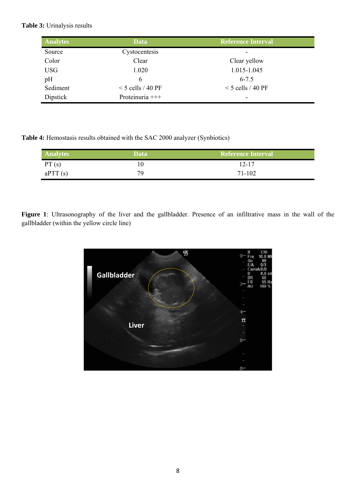## **Table 3:** Urinalysis results

| <b>Analytes</b> | <b>Data</b>         | <b>Reference Interval</b> |
|-----------------|---------------------|---------------------------|
| Source          | Cystocentesis       |                           |
| Color           | Clear               | Clear yellow              |
| <b>USG</b>      | 1.020               | 1.015-1.045               |
| pH              | 6                   | $6 - 7.5$                 |
| Sediment        | $<$ 5 cells / 40 PF | $<$ 5 cells / 40 PF       |
| Dipstick        | Proteinuria +++     | ٠                         |

**Table 4:** Hemostasis results obtained with the SAC 2000 analyzer (Synbiotics)

| <b>Analytes</b> | Data | <b>Reference Interval</b> |
|-----------------|------|---------------------------|
| PT(s)           |      | $12 - 17$                 |
| aPTT(s)         | 79   | 71-102                    |

**Figure 1**: Ultrasonography of the liver and the gallbladder. Presence of an infiltrative mass in the wall of the gallbladder (within the yellow circle line)

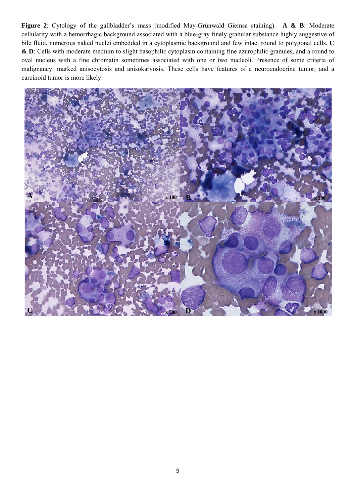**Figure 2**: Cytology of the gallbladder's mass (modified May-Grünwald Giemsa staining). **A & B**: Moderate cellularity with a hemorrhagic background associated with a blue-gray finely granular substance highly suggestive of bile fluid, numerous naked nuclei embedded in a cytoplasmic background and few intact round to polygonal cells. **C & D**: Cells with moderate medium to slight basophilic cytoplasm containing fine azurophilic granules, and a round to oval nucleus with a fine chromatin sometimes associated with one or two nucleoli. Presence of some criteria of malignancy: marked anisocytosis and anisokaryosis. These cells have features of a neuroendocrine tumor, and a carcinoid tumor is more likely.

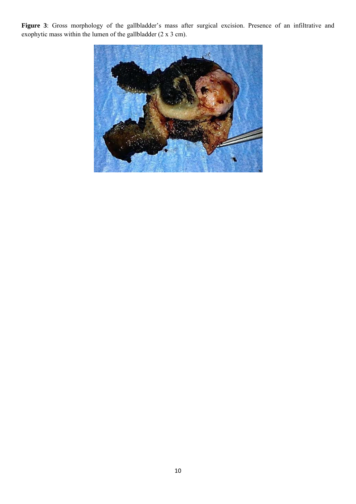Figure 3: Gross morphology of the gallbladder's mass after surgical excision. Presence of an infiltrative and exophytic mass within the lumen of the gallbladder  $(2 \times 3 \text{ cm})$ .

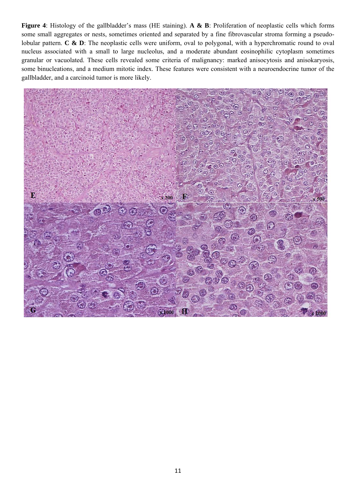**Figure 4**: Histology of the gallbladder's mass (HE staining). **A & B**: Proliferation of neoplastic cells which forms some small aggregates or nests, sometimes oriented and separated by a fine fibrovascular stroma forming a pseudolobular pattern. **C & D**: The neoplastic cells were uniform, oval to polygonal, with a hyperchromatic round to oval nucleus associated with a small to large nucleolus, and a moderate abundant eosinophilic cytoplasm sometimes granular or vacuolated. These cells revealed some criteria of malignancy: marked anisocytosis and anisokaryosis, some binucleations, and a medium mitotic index. These features were consistent with a neuroendocrine tumor of the gallbladder, and a carcinoid tumor is more likely.

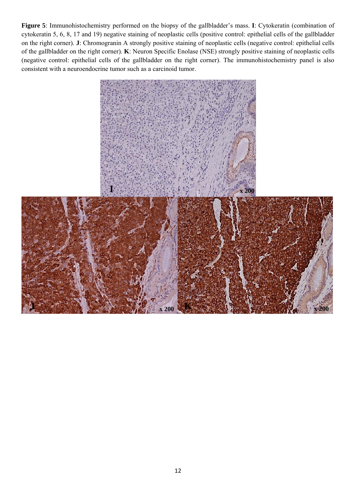**Figure 5**: Immunohistochemistry performed on the biopsy of the gallbladder's mass. **I**: Cytokeratin (combination of cytokeratin 5, 6, 8, 17 and 19) negative staining of neoplastic cells (positive control: epithelial cells of the gallbladder on the right corner). **J**: Chromogranin A strongly positive staining of neoplastic cells (negative control: epithelial cells of the gallbladder on the right corner). **K**: Neuron Specific Enolase (NSE) strongly positive staining of neoplastic cells (negative control: epithelial cells of the gallbladder on the right corner). The immunohistochemistry panel is also consistent with a neuroendocrine tumor such as a carcinoid tumor.